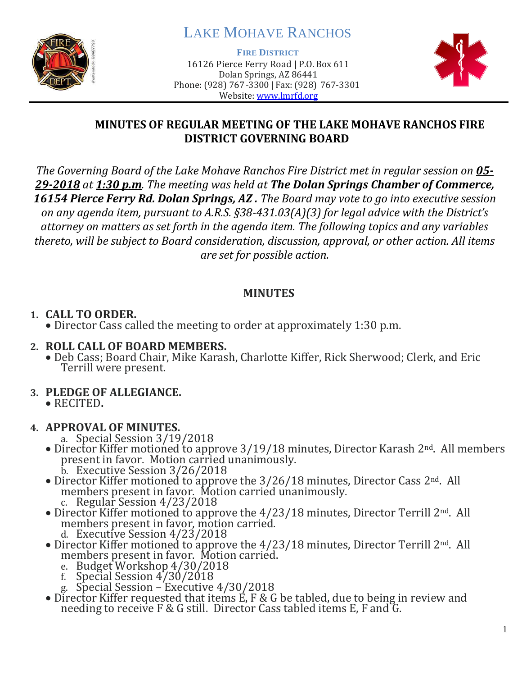

# LAKE MOHAVE RANCHOS

**FIRE DISTRICT**

16126 Pierce Ferry Road | P.O. Box 611 Dolan Springs, AZ 86441 Phone: (928) 767-3300 | Fax: (928) 767-3301 Website: [www.lmrfd.org](http://www.lmrfd.org/)



## **MINUTES OF REGULAR MEETING OF THE LAKE MOHAVE RANCHOS FIRE DISTRICT GOVERNING BOARD**

*The Governing Board of the Lake Mohave Ranchos Fire District met in regular session on 05- 29-2018 at 1:30 p.m. The meeting was held at The Dolan Springs Chamber of Commerce, 16154 Pierce Ferry Rd. Dolan Springs, AZ . The Board may vote to go into executive session on any agenda item, pursuant to A.R.S. §38-431.03(A)(3) for legal advice with the District's attorney on matters as set forth in the agenda item. The following topics and any variables thereto, will be subject to Board consideration, discussion, approval, or other action. All items are set for possible action.*

### **MINUTES**

## **1. CALL TO ORDER.**

• Director Cass called the meeting to order at approximately 1:30 p.m.

#### **2. ROLL CALL OF BOARD MEMBERS.**

• Deb Cass; Board Chair, Mike Karash, Charlotte Kiffer, Rick Sherwood; Clerk, and Eric Terrill were present.

## **3. PLEDGE OF ALLEGIANCE.**

- RECITED**.**
- **4. APPROVAL OF MINUTES.**
	- a. Special Session 3/19/2018
	- Director Kiffer motioned to approve 3/19/18 minutes, Director Karash 2<sup>nd</sup>. All members present in favor. Motion carried unanimously. b. Executive Session 3/26/2018
	- Director Kiffer motioned to approve the  $3/26/18$  minutes, Director Cass  $2^{nd}$ . All members present in favor. Motion carried unanimously. c. Regular Session 4/23/2018
	- Director Kiffer motioned to approve the 4/23/18 minutes, Director Terrill 2<sup>nd</sup>. All members present in favor, motion carried. d. Executive Session 4/23/2018
	- Director Kiffer motioned to approve the  $4/23/18$  minutes, Director Terrill 2<sup>nd</sup>. All members present in favor. Motion carried.
		- e. Budget Workshop 4/30/2018
		- f. Special Session 4/30/2018
		- g. Special Session Executive 4/30/2018
	- Director Kiffer requested that items E, F & G be tabled, due to being in review and needing to receive F & G still. Director Cass tabled items E, F and G.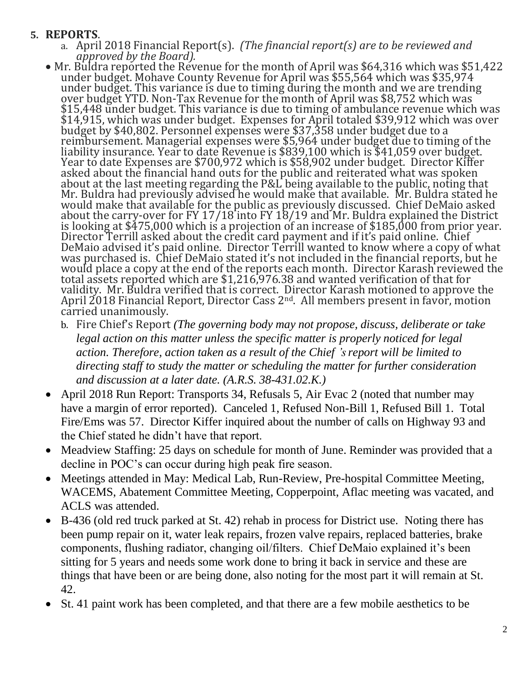#### **5. REPORTS**.

- a. April 2018 Financial Report(s). *(The financial report(s) are to be reviewed and approved by the Board).*
- Mr. Buldra reported the Revenue for the month of April was \$64,316 which was \$51,422 under budget. Mohave County Revenue for April was \$55,564 which was \$35,974 under budget. This variance is due to timing during the month and we are trending over budget YTD. Non-Tax Revenue for the month of April was \$8,752 which was \$15,448 under budget. This variance is due to timing of ambulance revenue which was \$14,915, which was under budget. Expenses for April totaled \$39,912 which was over budget by \$40,802. Personnel expenses were \$37,358 under budget due to a reimbursement. Managerial expenses were \$5,964 under budget due to timing of the liability insurance. Year to date Revenue is \$839,100 which is \$41,059 over budget. Year to date Expenses are \$700,972 which is \$58,902 under budget. Director Kiffer asked about the financial hand outs for the public and reiterated what was spoken about at the last meeting regarding the P&L being available to the public, noting that Mr. Buldra had previously advised he would make that available. Mr. Buldra stated he would make that available for the public as previously discussed. Chief DeMaio asked about the carry-over for FY 17/18 into FY 18/19 and Mr. Buldra explained the District is looking at \$475,000 which is a projection of an increase of \$185,000 from prior year. Director Terrill asked about the credit card payment and if it's paid online. Chief DeMaio advised it's paid online. Director Terrill wanted to know where a copy of what was purchased is. Chief DeMaio stated it's not included in the financial reports, but he would place a copy at the end of the reports each month. Director Karash reviewed the total assets reported which are \$1,216,976.38 and wanted verification of that for validity. Mr. Buldra verified that is correct. Director Karash motioned to approve the April 2018 Financial Report, Director Cass 2nd. All members present in favor, motion carried unanimously.
	- b. Fire Chief's Report *(The governing body may not propose, discuss, deliberate or take legal action on this matter unless the specific matter is properly noticed for legal action. Therefore, action taken as a result of the Chief 's report will be limited to directing staff to study the matter or scheduling the matter for further consideration and discussion at a later date. (A.R.S. 38-431.02.K.)*
- April 2018 Run Report: Transports 34, Refusals 5, Air Evac 2 (noted that number may have a margin of error reported). Canceled 1, Refused Non-Bill 1, Refused Bill 1. Total Fire/Ems was 57. Director Kiffer inquired about the number of calls on Highway 93 and the Chief stated he didn't have that report.
- Meadview Staffing: 25 days on schedule for month of June. Reminder was provided that a decline in POC's can occur during high peak fire season.
- Meetings attended in May: Medical Lab, Run-Review, Pre-hospital Committee Meeting, WACEMS, Abatement Committee Meeting, Copperpoint, Aflac meeting was vacated, and ACLS was attended.
- B-436 (old red truck parked at St. 42) rehab in process for District use. Noting there has been pump repair on it, water leak repairs, frozen valve repairs, replaced batteries, brake components, flushing radiator, changing oil/filters. Chief DeMaio explained it's been sitting for 5 years and needs some work done to bring it back in service and these are things that have been or are being done, also noting for the most part it will remain at St. 42.
- St. 41 paint work has been completed, and that there are a few mobile aesthetics to be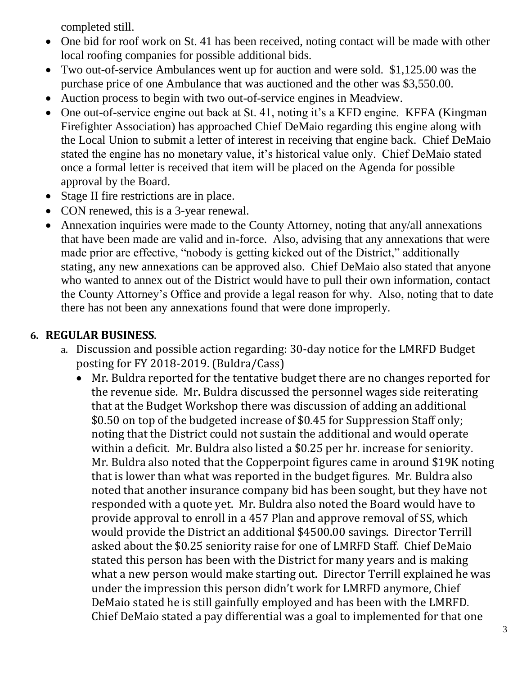completed still.

- One bid for roof work on St. 41 has been received, noting contact will be made with other local roofing companies for possible additional bids.
- Two out-of-service Ambulances went up for auction and were sold. \$1,125.00 was the purchase price of one Ambulance that was auctioned and the other was \$3,550.00.
- Auction process to begin with two out-of-service engines in Meadview.
- One out-of-service engine out back at St. 41, noting it's a KFD engine. KFFA (Kingman Firefighter Association) has approached Chief DeMaio regarding this engine along with the Local Union to submit a letter of interest in receiving that engine back. Chief DeMaio stated the engine has no monetary value, it's historical value only. Chief DeMaio stated once a formal letter is received that item will be placed on the Agenda for possible approval by the Board.
- Stage II fire restrictions are in place.
- CON renewed, this is a 3-year renewal.
- Annexation inquiries were made to the County Attorney, noting that any/all annexations that have been made are valid and in-force. Also, advising that any annexations that were made prior are effective, "nobody is getting kicked out of the District," additionally stating, any new annexations can be approved also. Chief DeMaio also stated that anyone who wanted to annex out of the District would have to pull their own information, contact the County Attorney's Office and provide a legal reason for why. Also, noting that to date there has not been any annexations found that were done improperly.

## **6. REGULAR BUSINESS**.

- a. Discussion and possible action regarding: 30-day notice for the LMRFD Budget posting for FY 2018-2019. (Buldra/Cass)
	- Mr. Buldra reported for the tentative budget there are no changes reported for the revenue side. Mr. Buldra discussed the personnel wages side reiterating that at the Budget Workshop there was discussion of adding an additional \$0.50 on top of the budgeted increase of \$0.45 for Suppression Staff only; noting that the District could not sustain the additional and would operate within a deficit. Mr. Buldra also listed a \$0.25 per hr. increase for seniority. Mr. Buldra also noted that the Copperpoint figures came in around \$19K noting that is lower than what was reported in the budget figures. Mr. Buldra also noted that another insurance company bid has been sought, but they have not responded with a quote yet. Mr. Buldra also noted the Board would have to provide approval to enroll in a 457 Plan and approve removal of SS, which would provide the District an additional \$4500.00 savings. Director Terrill asked about the \$0.25 seniority raise for one of LMRFD Staff. Chief DeMaio stated this person has been with the District for many years and is making what a new person would make starting out. Director Terrill explained he was under the impression this person didn't work for LMRFD anymore, Chief DeMaio stated he is still gainfully employed and has been with the LMRFD. Chief DeMaio stated a pay differential was a goal to implemented for that one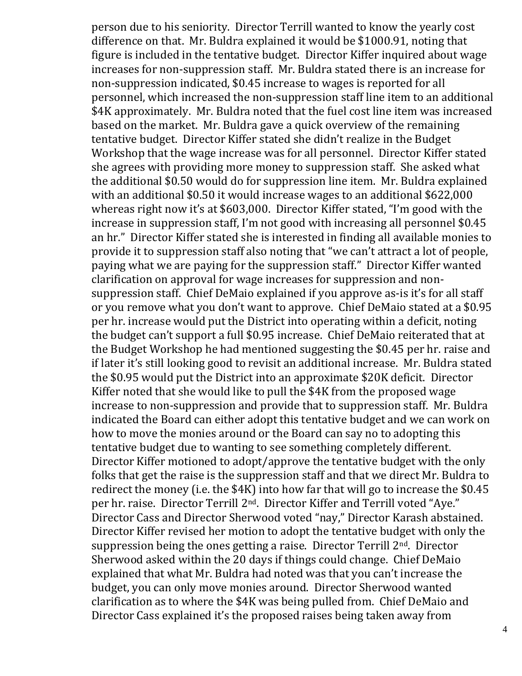person due to his seniority. Director Terrill wanted to know the yearly cost difference on that. Mr. Buldra explained it would be \$1000.91, noting that figure is included in the tentative budget. Director Kiffer inquired about wage increases for non-suppression staff. Mr. Buldra stated there is an increase for non-suppression indicated, \$0.45 increase to wages is reported for all personnel, which increased the non-suppression staff line item to an additional \$4K approximately. Mr. Buldra noted that the fuel cost line item was increased based on the market. Mr. Buldra gave a quick overview of the remaining tentative budget. Director Kiffer stated she didn't realize in the Budget Workshop that the wage increase was for all personnel. Director Kiffer stated she agrees with providing more money to suppression staff. She asked what the additional \$0.50 would do for suppression line item. Mr. Buldra explained with an additional \$0.50 it would increase wages to an additional \$622,000 whereas right now it's at \$603,000. Director Kiffer stated, "I'm good with the increase in suppression staff, I'm not good with increasing all personnel \$0.45 an hr." Director Kiffer stated she is interested in finding all available monies to provide it to suppression staff also noting that "we can't attract a lot of people, paying what we are paying for the suppression staff." Director Kiffer wanted clarification on approval for wage increases for suppression and nonsuppression staff. Chief DeMaio explained if you approve as-is it's for all staff or you remove what you don't want to approve. Chief DeMaio stated at a \$0.95 per hr. increase would put the District into operating within a deficit, noting the budget can't support a full \$0.95 increase. Chief DeMaio reiterated that at the Budget Workshop he had mentioned suggesting the \$0.45 per hr. raise and if later it's still looking good to revisit an additional increase. Mr. Buldra stated the \$0.95 would put the District into an approximate \$20K deficit. Director Kiffer noted that she would like to pull the \$4K from the proposed wage increase to non-suppression and provide that to suppression staff. Mr. Buldra indicated the Board can either adopt this tentative budget and we can work on how to move the monies around or the Board can say no to adopting this tentative budget due to wanting to see something completely different. Director Kiffer motioned to adopt/approve the tentative budget with the only folks that get the raise is the suppression staff and that we direct Mr. Buldra to redirect the money (i.e. the \$4K) into how far that will go to increase the \$0.45 per hr. raise. Director Terrill 2nd. Director Kiffer and Terrill voted "Aye." Director Cass and Director Sherwood voted "nay," Director Karash abstained. Director Kiffer revised her motion to adopt the tentative budget with only the suppression being the ones getting a raise. Director Terrill 2nd. Director Sherwood asked within the 20 days if things could change. Chief DeMaio explained that what Mr. Buldra had noted was that you can't increase the budget, you can only move monies around. Director Sherwood wanted clarification as to where the \$4K was being pulled from. Chief DeMaio and Director Cass explained it's the proposed raises being taken away from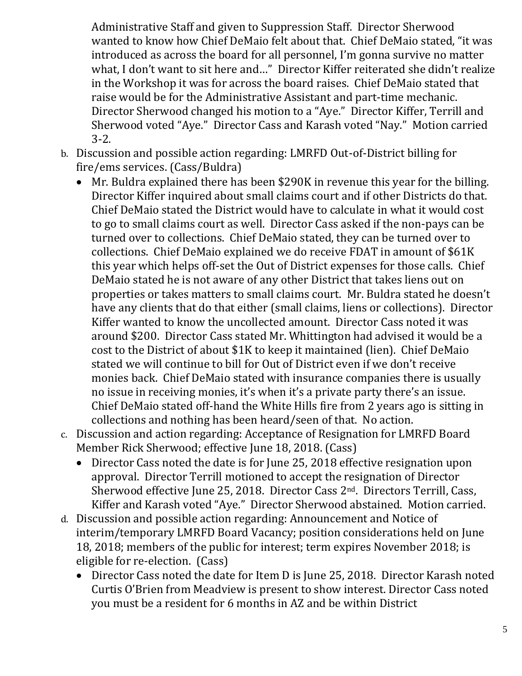Administrative Staff and given to Suppression Staff. Director Sherwood wanted to know how Chief DeMaio felt about that. Chief DeMaio stated, "it was introduced as across the board for all personnel, I'm gonna survive no matter what, I don't want to sit here and…" Director Kiffer reiterated she didn't realize in the Workshop it was for across the board raises. Chief DeMaio stated that raise would be for the Administrative Assistant and part-time mechanic. Director Sherwood changed his motion to a "Aye." Director Kiffer, Terrill and Sherwood voted "Aye." Director Cass and Karash voted "Nay." Motion carried 3-2.

- b. Discussion and possible action regarding: LMRFD Out-of-District billing for fire/ems services. (Cass/Buldra)
	- Mr. Buldra explained there has been \$290K in revenue this year for the billing. Director Kiffer inquired about small claims court and if other Districts do that. Chief DeMaio stated the District would have to calculate in what it would cost to go to small claims court as well. Director Cass asked if the non-pays can be turned over to collections. Chief DeMaio stated, they can be turned over to collections. Chief DeMaio explained we do receive FDAT in amount of \$61K this year which helps off-set the Out of District expenses for those calls. Chief DeMaio stated he is not aware of any other District that takes liens out on properties or takes matters to small claims court. Mr. Buldra stated he doesn't have any clients that do that either (small claims, liens or collections). Director Kiffer wanted to know the uncollected amount. Director Cass noted it was around \$200. Director Cass stated Mr. Whittington had advised it would be a cost to the District of about \$1K to keep it maintained (lien). Chief DeMaio stated we will continue to bill for Out of District even if we don't receive monies back. Chief DeMaio stated with insurance companies there is usually no issue in receiving monies, it's when it's a private party there's an issue. Chief DeMaio stated off-hand the White Hills fire from 2 years ago is sitting in collections and nothing has been heard/seen of that. No action.
- c. Discussion and action regarding: Acceptance of Resignation for LMRFD Board Member Rick Sherwood; effective June 18, 2018. (Cass)
	- Director Cass noted the date is for June 25, 2018 effective resignation upon approval. Director Terrill motioned to accept the resignation of Director Sherwood effective June 25, 2018. Director Cass 2nd. Directors Terrill, Cass, Kiffer and Karash voted "Aye." Director Sherwood abstained. Motion carried.
- d. Discussion and possible action regarding: Announcement and Notice of interim/temporary LMRFD Board Vacancy; position considerations held on June 18, 2018; members of the public for interest; term expires November 2018; is eligible for re-election. (Cass)
	- Director Cass noted the date for Item D is June 25, 2018. Director Karash noted Curtis O'Brien from Meadview is present to show interest. Director Cass noted you must be a resident for 6 months in AZ and be within District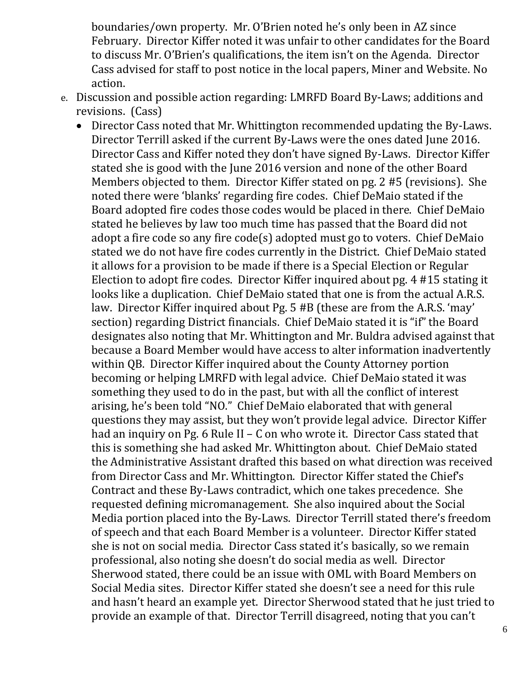boundaries/own property. Mr. O'Brien noted he's only been in AZ since February. Director Kiffer noted it was unfair to other candidates for the Board to discuss Mr. O'Brien's qualifications, the item isn't on the Agenda. Director Cass advised for staff to post notice in the local papers, Miner and Website. No action.

- e. Discussion and possible action regarding: LMRFD Board By-Laws; additions and revisions. (Cass)
	- Director Cass noted that Mr. Whittington recommended updating the By-Laws. Director Terrill asked if the current By-Laws were the ones dated June 2016. Director Cass and Kiffer noted they don't have signed By-Laws. Director Kiffer stated she is good with the June 2016 version and none of the other Board Members objected to them. Director Kiffer stated on pg. 2 #5 (revisions). She noted there were 'blanks' regarding fire codes. Chief DeMaio stated if the Board adopted fire codes those codes would be placed in there. Chief DeMaio stated he believes by law too much time has passed that the Board did not adopt a fire code so any fire code(s) adopted must go to voters. Chief DeMaio stated we do not have fire codes currently in the District. Chief DeMaio stated it allows for a provision to be made if there is a Special Election or Regular Election to adopt fire codes. Director Kiffer inquired about pg. 4 #15 stating it looks like a duplication. Chief DeMaio stated that one is from the actual A.R.S. law. Director Kiffer inquired about Pg. 5 #B (these are from the A.R.S. 'may' section) regarding District financials. Chief DeMaio stated it is "if" the Board designates also noting that Mr. Whittington and Mr. Buldra advised against that because a Board Member would have access to alter information inadvertently within QB. Director Kiffer inquired about the County Attorney portion becoming or helping LMRFD with legal advice. Chief DeMaio stated it was something they used to do in the past, but with all the conflict of interest arising, he's been told "NO." Chief DeMaio elaborated that with general questions they may assist, but they won't provide legal advice. Director Kiffer had an inquiry on Pg. 6 Rule II – C on who wrote it. Director Cass stated that this is something she had asked Mr. Whittington about. Chief DeMaio stated the Administrative Assistant drafted this based on what direction was received from Director Cass and Mr. Whittington. Director Kiffer stated the Chief's Contract and these By-Laws contradict, which one takes precedence. She requested defining micromanagement. She also inquired about the Social Media portion placed into the By-Laws. Director Terrill stated there's freedom of speech and that each Board Member is a volunteer. Director Kiffer stated she is not on social media. Director Cass stated it's basically, so we remain professional, also noting she doesn't do social media as well. Director Sherwood stated, there could be an issue with OML with Board Members on Social Media sites. Director Kiffer stated she doesn't see a need for this rule and hasn't heard an example yet. Director Sherwood stated that he just tried to provide an example of that. Director Terrill disagreed, noting that you can't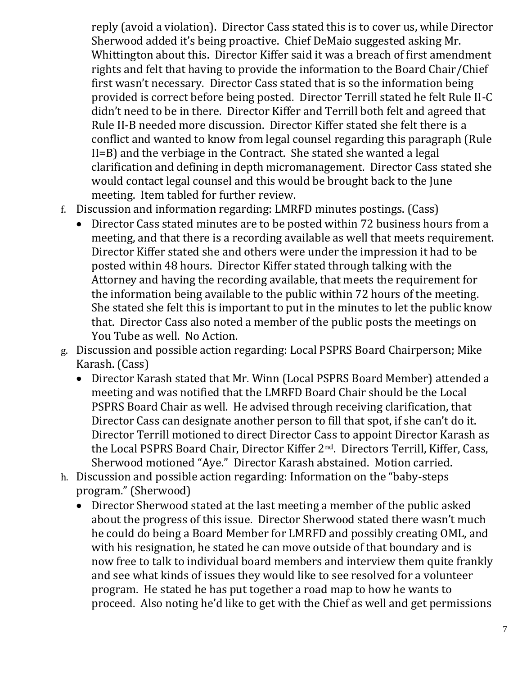reply (avoid a violation). Director Cass stated this is to cover us, while Director Sherwood added it's being proactive. Chief DeMaio suggested asking Mr. Whittington about this. Director Kiffer said it was a breach of first amendment rights and felt that having to provide the information to the Board Chair/Chief first wasn't necessary. Director Cass stated that is so the information being provided is correct before being posted. Director Terrill stated he felt Rule II-C didn't need to be in there. Director Kiffer and Terrill both felt and agreed that Rule II-B needed more discussion. Director Kiffer stated she felt there is a conflict and wanted to know from legal counsel regarding this paragraph (Rule II=B) and the verbiage in the Contract. She stated she wanted a legal clarification and defining in depth micromanagement. Director Cass stated she would contact legal counsel and this would be brought back to the June meeting. Item tabled for further review.

- f. Discussion and information regarding: LMRFD minutes postings. (Cass)
	- Director Cass stated minutes are to be posted within 72 business hours from a meeting, and that there is a recording available as well that meets requirement. Director Kiffer stated she and others were under the impression it had to be posted within 48 hours. Director Kiffer stated through talking with the Attorney and having the recording available, that meets the requirement for the information being available to the public within 72 hours of the meeting. She stated she felt this is important to put in the minutes to let the public know that. Director Cass also noted a member of the public posts the meetings on You Tube as well. No Action.
- g. Discussion and possible action regarding: Local PSPRS Board Chairperson; Mike Karash. (Cass)
	- Director Karash stated that Mr. Winn (Local PSPRS Board Member) attended a meeting and was notified that the LMRFD Board Chair should be the Local PSPRS Board Chair as well. He advised through receiving clarification, that Director Cass can designate another person to fill that spot, if she can't do it. Director Terrill motioned to direct Director Cass to appoint Director Karash as the Local PSPRS Board Chair, Director Kiffer 2nd. Directors Terrill, Kiffer, Cass, Sherwood motioned "Aye." Director Karash abstained. Motion carried.
- h. Discussion and possible action regarding: Information on the "baby-steps program." (Sherwood)
	- Director Sherwood stated at the last meeting a member of the public asked about the progress of this issue. Director Sherwood stated there wasn't much he could do being a Board Member for LMRFD and possibly creating OML, and with his resignation, he stated he can move outside of that boundary and is now free to talk to individual board members and interview them quite frankly and see what kinds of issues they would like to see resolved for a volunteer program. He stated he has put together a road map to how he wants to proceed. Also noting he'd like to get with the Chief as well and get permissions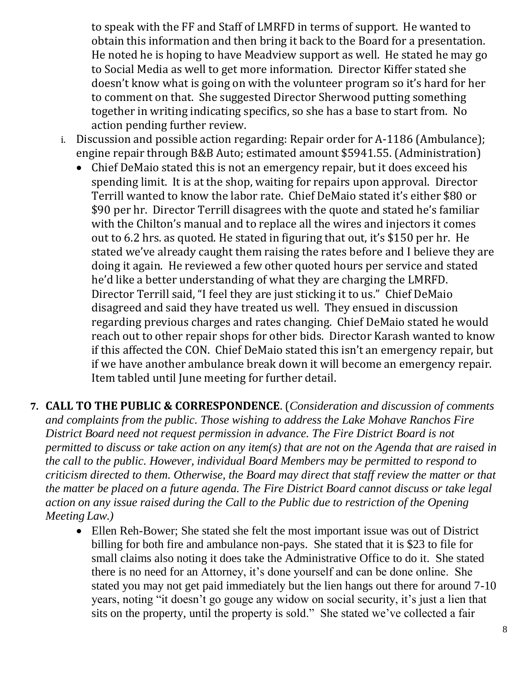to speak with the FF and Staff of LMRFD in terms of support. He wanted to obtain this information and then bring it back to the Board for a presentation. He noted he is hoping to have Meadview support as well. He stated he may go to Social Media as well to get more information. Director Kiffer stated she doesn't know what is going on with the volunteer program so it's hard for her to comment on that. She suggested Director Sherwood putting something together in writing indicating specifics, so she has a base to start from. No action pending further review.

- i. Discussion and possible action regarding: Repair order for A-1186 (Ambulance); engine repair through B&B Auto; estimated amount \$5941.55. (Administration)
	- Chief DeMaio stated this is not an emergency repair, but it does exceed his spending limit. It is at the shop, waiting for repairs upon approval. Director Terrill wanted to know the labor rate. Chief DeMaio stated it's either \$80 or \$90 per hr. Director Terrill disagrees with the quote and stated he's familiar with the Chilton's manual and to replace all the wires and injectors it comes out to 6.2 hrs. as quoted. He stated in figuring that out, it's \$150 per hr. He stated we've already caught them raising the rates before and I believe they are doing it again. He reviewed a few other quoted hours per service and stated he'd like a better understanding of what they are charging the LMRFD. Director Terrill said, "I feel they are just sticking it to us." Chief DeMaio disagreed and said they have treated us well. They ensued in discussion regarding previous charges and rates changing. Chief DeMaio stated he would reach out to other repair shops for other bids. Director Karash wanted to know if this affected the CON. Chief DeMaio stated this isn't an emergency repair, but if we have another ambulance break down it will become an emergency repair. Item tabled until June meeting for further detail.
- **7. CALL TO THE PUBLIC & CORRESPONDENCE**. (*Consideration and discussion of comments and complaints from the public. Those wishing to address the Lake Mohave Ranchos Fire District Board need not request permission in advance. The Fire District Board is not permitted to discuss or take action on any item(s) that are not on the Agenda that are raised in the call to the public. However, individual Board Members may be permitted to respond to criticism directed to them. Otherwise, the Board may direct that staff review the matter or that the matter be placed on a future agenda. The Fire District Board cannot discuss or take legal action on any issue raised during the Call to the Public due to restriction of the Opening Meeting Law.)*
	- Ellen Reh-Bower; She stated she felt the most important issue was out of District billing for both fire and ambulance non-pays. She stated that it is \$23 to file for small claims also noting it does take the Administrative Office to do it. She stated there is no need for an Attorney, it's done yourself and can be done online. She stated you may not get paid immediately but the lien hangs out there for around 7-10 years, noting "it doesn't go gouge any widow on social security, it's just a lien that sits on the property, until the property is sold." She stated we've collected a fair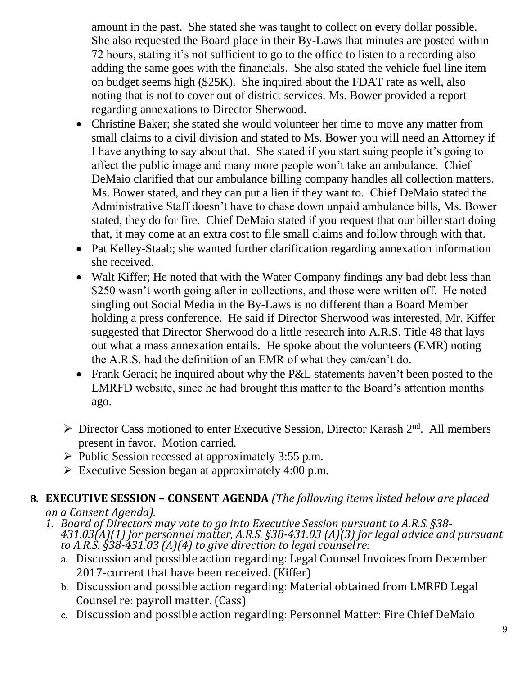amount in the past. She stated she was taught to collect on every dollar possible. She also requested the Board place in their By-Laws that minutes are posted within 72 hours, stating it's not sufficient to go to the office to listen to a recording also adding the same goes with the financials. She also stated the vehicle fuel line item on budget seems high (\$25K). She inquired about the FDAT rate as well, also noting that is not to cover out of district services. Ms. Bower provided a report regarding annexations to Director Sherwood.

- Christine Baker; she stated she would volunteer her time to move any matter from small claims to a civil division and stated to Ms. Bower you will need an Attorney if I have anything to say about that. She stated if you start suing people it's going to affect the public image and many more people won't take an ambulance. Chief DeMaio clarified that our ambulance billing company handles all collection matters. Ms. Bower stated, and they can put a lien if they want to. Chief DeMaio stated the Administrative Staff doesn't have to chase down unpaid ambulance bills, Ms. Bower stated, they do for fire. Chief DeMaio stated if you request that our biller start doing that, it may come at an extra cost to file small claims and follow through with that.
- Pat Kelley-Staab; she wanted further clarification regarding annexation information she received.
- Walt Kiffer; He noted that with the Water Company findings any bad debt less than \$250 wasn't worth going after in collections, and those were written off. He noted singling out Social Media in the By-Laws is no different than a Board Member holding a press conference. He said if Director Sherwood was interested, Mr. Kiffer suggested that Director Sherwood do a little research into A.R.S. Title 48 that lays out what a mass annexation entails. He spoke about the volunteers (EMR) noting the A.R.S. had the definition of an EMR of what they can/can't do.
- Frank Geraci; he inquired about why the P&L statements haven't been posted to the LMRFD website, since he had brought this matter to the Board's attention months ago.
- $\triangleright$  Director Cass motioned to enter Executive Session, Director Karash 2<sup>nd</sup>. All members present in favor. Motion carried.
- ➢ Public Session recessed at approximately 3:55 p.m.
- $\triangleright$  Executive Session began at approximately 4:00 p.m.

#### **8. EXECUTIVE SESSION – CONSENT AGENDA** *(The following items listed below are placed on a Consent Agenda).*

- *1. Board of Directors may vote to go into Executive Session pursuant to A.R.S. §38- 431.03(A)(1) for personnel matter, A.R.S. §38-431.03 (A)(3) for legal advice and pursuant to A.R.S. §38-431.03 (A)(4) to give direction to legal counsel re:*
	- a. Discussion and possible action regarding: Legal Counsel Invoices from December 2017-current that have been received. (Kiffer)
	- b. Discussion and possible action regarding: Material obtained from LMRFD Legal Counsel re: payroll matter. (Cass)
	- c. Discussion and possible action regarding: Personnel Matter: Fire Chief DeMaio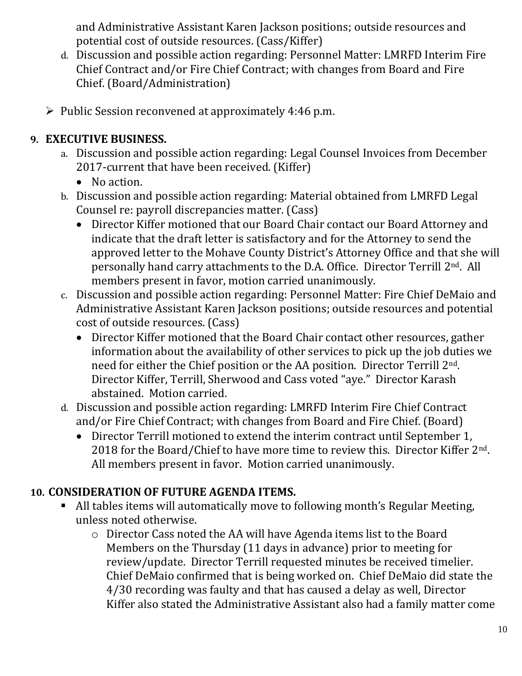and Administrative Assistant Karen Jackson positions; outside resources and potential cost of outside resources. (Cass/Kiffer)

- d. Discussion and possible action regarding: Personnel Matter: LMRFD Interim Fire Chief Contract and/or Fire Chief Contract; with changes from Board and Fire Chief. (Board/Administration)
- ➢ Public Session reconvened at approximately 4:46 p.m.

# **9. EXECUTIVE BUSINESS.**

- a. Discussion and possible action regarding: Legal Counsel Invoices from December 2017-current that have been received. (Kiffer)
	- No action.
- b. Discussion and possible action regarding: Material obtained from LMRFD Legal Counsel re: payroll discrepancies matter. (Cass)
	- Director Kiffer motioned that our Board Chair contact our Board Attorney and indicate that the draft letter is satisfactory and for the Attorney to send the approved letter to the Mohave County District's Attorney Office and that she will personally hand carry attachments to the D.A. Office. Director Terrill 2nd. All members present in favor, motion carried unanimously.
- c. Discussion and possible action regarding: Personnel Matter: Fire Chief DeMaio and Administrative Assistant Karen Jackson positions; outside resources and potential cost of outside resources. (Cass)
	- Director Kiffer motioned that the Board Chair contact other resources, gather information about the availability of other services to pick up the job duties we need for either the Chief position or the AA position. Director Terrill 2nd. Director Kiffer, Terrill, Sherwood and Cass voted "aye." Director Karash abstained. Motion carried.
- d. Discussion and possible action regarding: LMRFD Interim Fire Chief Contract and/or Fire Chief Contract; with changes from Board and Fire Chief. (Board)
	- Director Terrill motioned to extend the interim contract until September 1, 2018 for the Board/Chief to have more time to review this. Director Kiffer 2nd. All members present in favor. Motion carried unanimously.

# **10. CONSIDERATION OF FUTURE AGENDA ITEMS.**

- All tables items will automatically move to following month's Regular Meeting, unless noted otherwise.
	- o Director Cass noted the AA will have Agenda items list to the Board Members on the Thursday (11 days in advance) prior to meeting for review/update. Director Terrill requested minutes be received timelier. Chief DeMaio confirmed that is being worked on. Chief DeMaio did state the 4/30 recording was faulty and that has caused a delay as well, Director Kiffer also stated the Administrative Assistant also had a family matter come